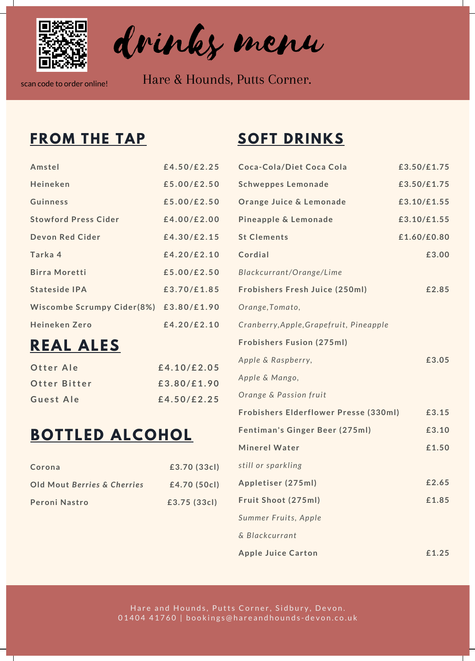

drinks menu

scan code to order online! Hare & Hounds, Putts Corner.

#### **FROM THE TAP SOFT DRINKS**

| Amstel                      | £4.50/£2.25 |
|-----------------------------|-------------|
| Heineken                    | £5.00/E2.50 |
| Guinness                    | £5.00/E2.50 |
| <b>Stowford Press Cider</b> | £4.00/E2.00 |
| Devon Red Cider             | £4.30/E2.15 |
| Tarka 4                     | £4.20/£2.10 |
| <b>Birra Moretti</b>        | £5.00/£2.50 |
| Stateside IPA               | £3.70/£1.85 |
| Wiscombe Scrumpy Cider(8%)  | £3.80/£1.90 |
| <b>Heineken Zero</b>        | £4.20/£2.10 |
|                             |             |

# **REAL ALES**

| Otter Ale    | £4.10/£2.05 |
|--------------|-------------|
| Otter Bitter | £3.80/£1.90 |
| Guest Ale    | £4.50/£2.25 |

# **BOTTLED ALCOHOL**

| Corona                      | £3.70 (33cl) |
|-----------------------------|--------------|
| Old Mout Berries & Cherries | £4.70 (50cl) |
| Peroni Nastro               | £3.75 (33cl) |

| Coca-Cola/Diet Coca Cola                | £3.50/£1.75 |
|-----------------------------------------|-------------|
| <b>Schweppes Lemonade</b>               | £3.50/£1.75 |
| Orange Juice & Lemonade                 | £3.10/£1.55 |
| Pineapple & Lemonade                    | £3.10/£1.55 |
| <b>St Clements</b>                      | £1.60/£0.80 |
| Cordial                                 | £3.00       |
| Blackcurrant/Orange/Lime                |             |
| Frobishers Fresh Juice (250ml)          | £2.85       |
| Orange, Tomato,                         |             |
| Cranberry, Apple, Grapefruit, Pineapple |             |
| <b>Frobishers Fusion (275ml)</b>        |             |
| Apple & Raspberry,                      | £3.05       |
| Apple & Mango,                          |             |
| Orange & Passion fruit                  |             |
| Frobishers Elderflower Presse (330ml)   | £3.15       |
| Fentiman's Ginger Beer (275ml)          | £3.10       |
| <b>Minerel Water</b>                    | £1.50       |
| still or sparkling                      |             |
| Appletiser (275ml)                      | £2.65       |
| Fruit Shoot (275ml)                     | £1.85       |
| Summer Fruits, Apple                    |             |
| & Blackcurrant                          |             |
| <b>Apple Juice Carton</b>               | £1.25       |

Hare and Hounds, Putts Corner, Sidbury, Devon. 01404 41760 | bookings@hareandhounds-devon.co.uk